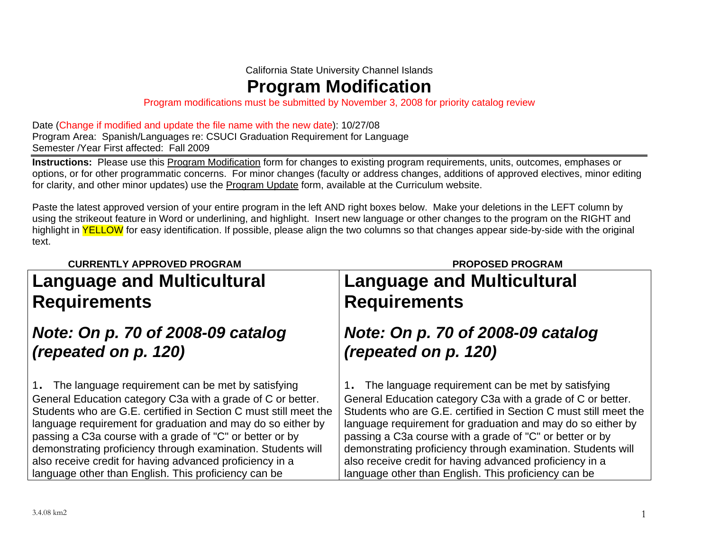California State University Channel Islands

**Program Modification**

Program modifications must be submitted by November 3, 2008 for priority catalog review

Date (Change if modified and update the file name with the new date): 10/27/08 Program Area: Spanish/Languages re: CSUCI Graduation Requirement for Language Semester /Year First affected: Fall 2009

**Instructions:** Please use this Program Modification form for changes to existing program requirements, units, outcomes, emphases or options, or for other programmatic concerns. For minor changes (faculty or address changes, additions of approved electives, minor editing for clarity, and other minor updates) use the Program Update form, available at the Curriculum website.

Paste the latest approved version of your entire program in the left AND right boxes below. Make your deletions in the LEFT column by using the strikeout feature in Word or underlining, and highlight. Insert new language or other changes to the program on the RIGHT and highlight in YELLOW for easy identification. If possible, please align the two columns so that changes appear side-by-side with the original text.

## **CURRENTLY APPROVED PROGRAM PROPOSED PROGRAM**

# **Language and Multicultural Requirements**

# *Note: On p. 70 of 2008-09 catalog (repeated on p. 120)*

1. The language requirement can be met by satisfying General Education category C3a with a grade of C or better. Students who are G.E. certified in Section C must still meet the language requirement for graduation and may do so either by passing a C3a course with a grade of "C" or better or by demonstrating proficiency through examination. Students will also receive credit for having advanced proficiency in a language other than English. This proficiency can be

# **Language and Multicultural Requirements**

# *Note: On p. 70 of 2008-09 catalog (repeated on p. 120)*

1. The language requirement can be met by satisfying General Education category C3a with a grade of C or better. Students who are G.E. certified in Section C must still meet the language requirement for graduation and may do so either by passing a C3a course with a grade of "C" or better or by demonstrating proficiency through examination. Students will also receive credit for having advanced proficiency in a language other than English. This proficiency can be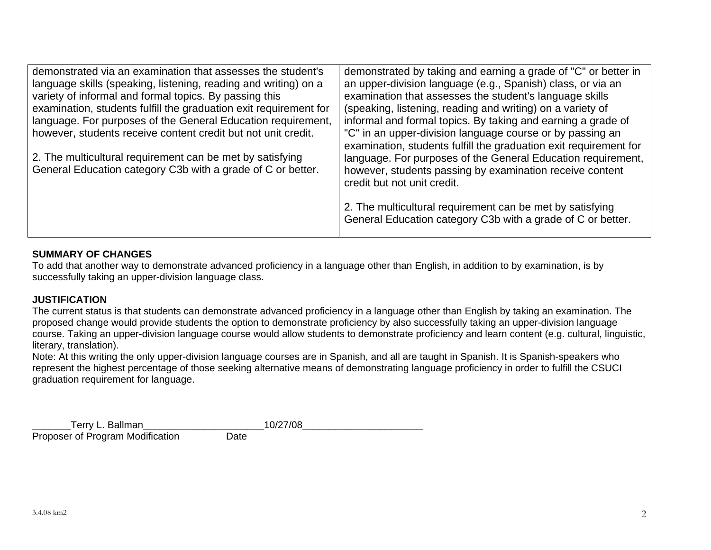| demonstrated via an examination that assesses the student's<br>language skills (speaking, listening, reading and writing) on a<br>variety of informal and formal topics. By passing this<br>examination, students fulfill the graduation exit requirement for<br>language. For purposes of the General Education requirement,<br>however, students receive content credit but not unit credit.<br>2. The multicultural requirement can be met by satisfying<br>General Education category C3b with a grade of C or better. | demonstrated by taking and earning a grade of "C" or better in<br>an upper-division language (e.g., Spanish) class, or via an<br>examination that assesses the student's language skills<br>(speaking, listening, reading and writing) on a variety of<br>informal and formal topics. By taking and earning a grade of<br>"C" in an upper-division language course or by passing an<br>examination, students fulfill the graduation exit requirement for<br>language. For purposes of the General Education requirement,<br>however, students passing by examination receive content<br>credit but not unit credit. |
|----------------------------------------------------------------------------------------------------------------------------------------------------------------------------------------------------------------------------------------------------------------------------------------------------------------------------------------------------------------------------------------------------------------------------------------------------------------------------------------------------------------------------|---------------------------------------------------------------------------------------------------------------------------------------------------------------------------------------------------------------------------------------------------------------------------------------------------------------------------------------------------------------------------------------------------------------------------------------------------------------------------------------------------------------------------------------------------------------------------------------------------------------------|
|                                                                                                                                                                                                                                                                                                                                                                                                                                                                                                                            | 2. The multicultural requirement can be met by satisfying<br>General Education category C3b with a grade of C or better.                                                                                                                                                                                                                                                                                                                                                                                                                                                                                            |

### **SUMMARY OF CHANGES**

To add that another way to demonstrate advanced proficiency in a language other than English, in addition to by examination, is by successfully taking an upper-division language class.

## **JUSTIFICATION**

The current status is that students can demonstrate advanced proficiency in a language other than English by taking an examination. The proposed change would provide students the option to demonstrate proficiency by also successfully taking an upper-division language course. Taking an upper-division language course would allow students to demonstrate proficiency and learn content (e.g. cultural, linguistic, literary, translation).

Note: At this writing the only upper-division language courses are in Spanish, and all are taught in Spanish. It is Spanish-speakers who represent the highest percentage of those seeking alternative means of demonstrating language proficiency in order to fulfill the CSUCI graduation requirement for language.

| Terry L. Ballman                 | 10/27/08 |
|----------------------------------|----------|
| Proposer of Program Modification | Date     |